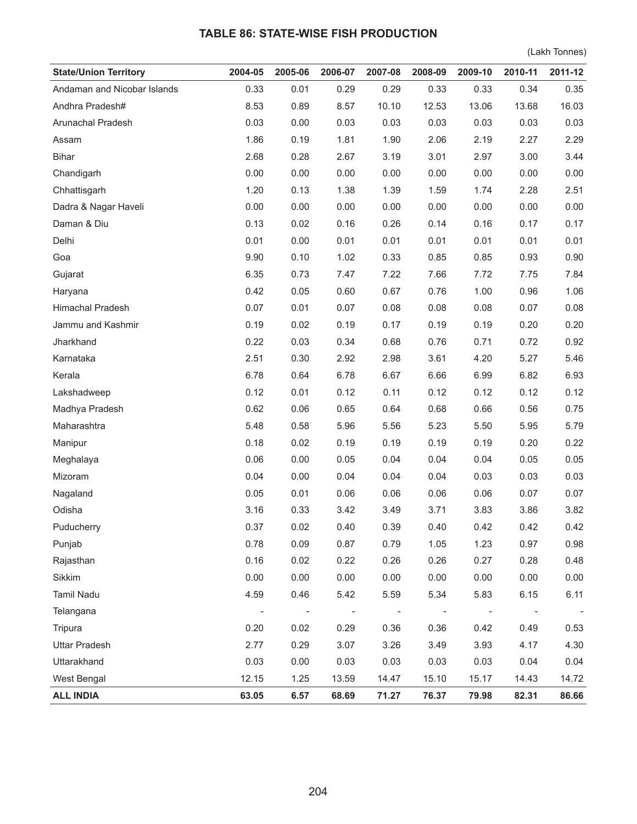## **TABLE 86: STATE-WISE FISH PRODUCTION**

(Lakh Tonnes)

| <b>State/Union Territory</b> | 2004-05 | 2005-06 | 2006-07 | 2007-08 | 2008-09 | 2009-10 | 2010-11 | 2011-12 |
|------------------------------|---------|---------|---------|---------|---------|---------|---------|---------|
| Andaman and Nicobar Islands  | 0.33    | 0.01    | 0.29    | 0.29    | 0.33    | 0.33    | 0.34    | 0.35    |
| Andhra Pradesh#              | 8.53    | 0.89    | 8.57    | 10.10   | 12.53   | 13.06   | 13.68   | 16.03   |
| Arunachal Pradesh            | 0.03    | 0.00    | 0.03    | 0.03    | 0.03    | 0.03    | 0.03    | 0.03    |
| Assam                        | 1.86    | 0.19    | 1.81    | 1.90    | 2.06    | 2.19    | 2.27    | 2.29    |
| <b>Bihar</b>                 | 2.68    | 0.28    | 2.67    | 3.19    | 3.01    | 2.97    | 3.00    | 3.44    |
| Chandigarh                   | 0.00    | 0.00    | 0.00    | 0.00    | 0.00    | 0.00    | 0.00    | 0.00    |
| Chhattisgarh                 | 1.20    | 0.13    | 1.38    | 1.39    | 1.59    | 1.74    | 2.28    | 2.51    |
| Dadra & Nagar Haveli         | 0.00    | 0.00    | 0.00    | 0.00    | 0.00    | 0.00    | 0.00    | 0.00    |
| Daman & Diu                  | 0.13    | 0.02    | 0.16    | 0.26    | 0.14    | 0.16    | 0.17    | 0.17    |
| Delhi                        | 0.01    | 0.00    | 0.01    | 0.01    | 0.01    | 0.01    | 0.01    | 0.01    |
| Goa                          | 9.90    | 0.10    | 1.02    | 0.33    | 0.85    | 0.85    | 0.93    | 0.90    |
| Gujarat                      | 6.35    | 0.73    | 7.47    | 7.22    | 7.66    | 7.72    | 7.75    | 7.84    |
| Haryana                      | 0.42    | 0.05    | 0.60    | 0.67    | 0.76    | 1.00    | 0.96    | 1.06    |
| Himachal Pradesh             | 0.07    | 0.01    | 0.07    | 0.08    | 0.08    | 0.08    | 0.07    | 0.08    |
| Jammu and Kashmir            | 0.19    | 0.02    | 0.19    | 0.17    | 0.19    | 0.19    | 0.20    | 0.20    |
| Jharkhand                    | 0.22    | 0.03    | 0.34    | 0.68    | 0.76    | 0.71    | 0.72    | 0.92    |
| Karnataka                    | 2.51    | 0.30    | 2.92    | 2.98    | 3.61    | 4.20    | 5.27    | 5.46    |
| Kerala                       | 6.78    | 0.64    | 6.78    | 6.67    | 6.66    | 6.99    | 6.82    | 6.93    |
| Lakshadweep                  | 0.12    | 0.01    | 0.12    | 0.11    | 0.12    | 0.12    | 0.12    | 0.12    |
| Madhya Pradesh               | 0.62    | 0.06    | 0.65    | 0.64    | 0.68    | 0.66    | 0.56    | 0.75    |
| Maharashtra                  | 5.48    | 0.58    | 5.96    | 5.56    | 5.23    | 5.50    | 5.95    | 5.79    |
| Manipur                      | 0.18    | 0.02    | 0.19    | 0.19    | 0.19    | 0.19    | 0.20    | 0.22    |
| Meghalaya                    | 0.06    | 0.00    | 0.05    | 0.04    | 0.04    | 0.04    | 0.05    | 0.05    |
| Mizoram                      | 0.04    | 0.00    | 0.04    | 0.04    | 0.04    | 0.03    | 0.03    | 0.03    |
| Nagaland                     | 0.05    | 0.01    | 0.06    | 0.06    | 0.06    | 0.06    | 0.07    | 0.07    |
| Odisha                       | 3.16    | 0.33    | 3.42    | 3.49    | 3.71    | 3.83    | 3.86    | 3.82    |
| Puducherry                   | 0.37    | 0.02    | 0.40    | 0.39    | 0.40    | 0.42    | 0.42    | 0.42    |
| Punjab                       | 0.78    | 0.09    | 0.87    | 0.79    | 1.05    | 1.23    | 0.97    | 0.98    |
| Rajasthan                    | 0.16    | 0.02    | 0.22    | 0.26    | 0.26    | 0.27    | 0.28    | 0.48    |
| Sikkim                       | 0.00    | 0.00    | 0.00    | 0.00    | 0.00    | 0.00    | 0.00    | 0.00    |
| Tamil Nadu                   | 4.59    | 0.46    | 5.42    | 5.59    | 5.34    | 5.83    | 6.15    | 6.11    |
| Telangana                    |         |         |         |         |         |         |         |         |
| Tripura                      | 0.20    | 0.02    | 0.29    | 0.36    | 0.36    | 0.42    | 0.49    | 0.53    |
| <b>Uttar Pradesh</b>         | 2.77    | 0.29    | 3.07    | 3.26    | 3.49    | 3.93    | 4.17    | 4.30    |
| Uttarakhand                  | 0.03    | 0.00    | 0.03    | 0.03    | 0.03    | 0.03    | 0.04    | 0.04    |
| West Bengal                  | 12.15   | 1.25    | 13.59   | 14.47   | 15.10   | 15.17   | 14.43   | 14.72   |
| <b>ALL INDIA</b>             | 63.05   | 6.57    | 68.69   | 71.27   | 76.37   | 79.98   | 82.31   | 86.66   |